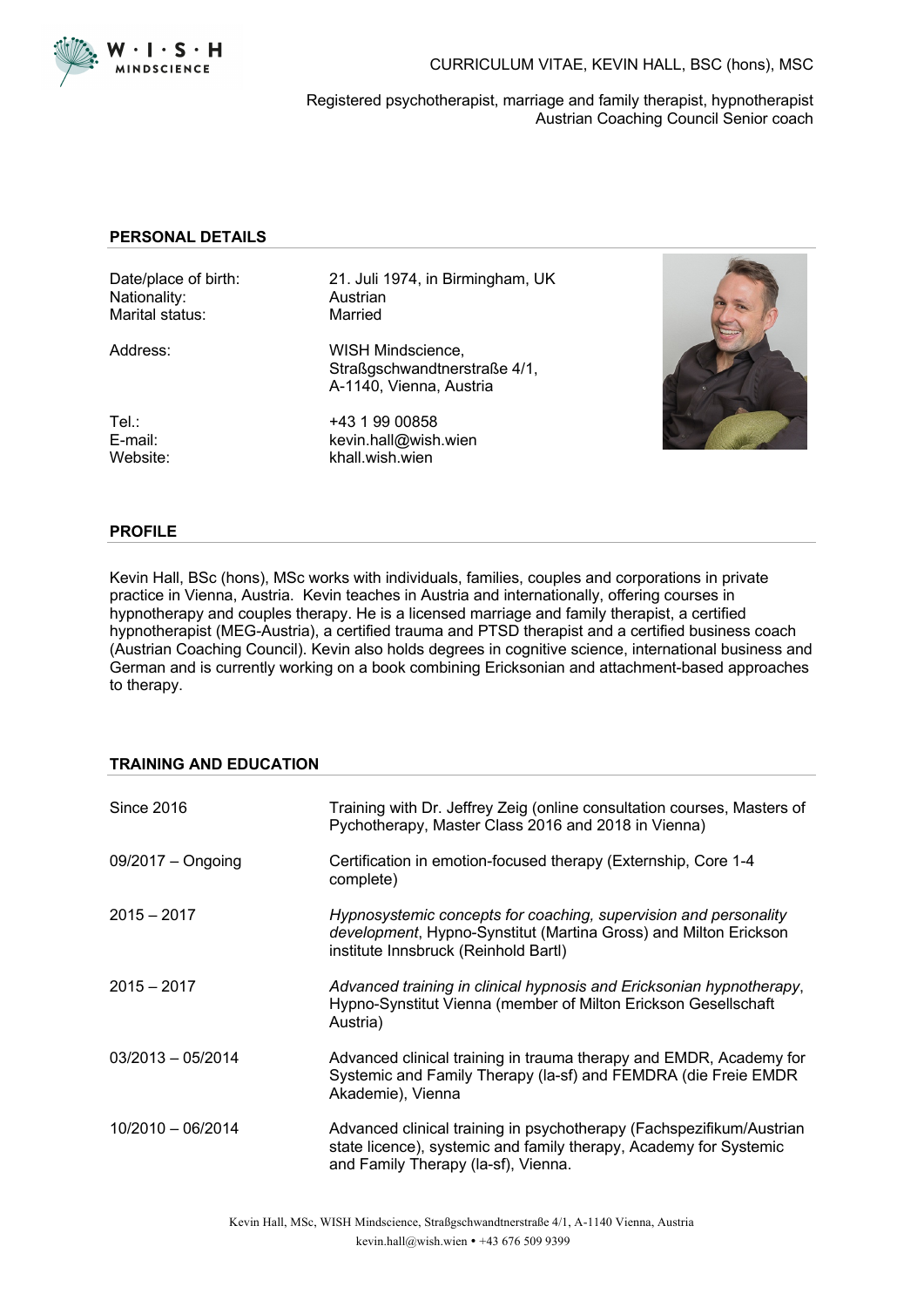

CURRICULUM VITAE, KEVIN HALL, BSC (hons), MSC

Registered psychotherapist, marriage and family therapist, hypnotherapist Austrian Coaching Council Senior coach

### **PERSONAL DETAILS**

Nationality: Austrian<br>
Marital status: Married Marital status:

Date/place of birth: 21. Juli 1974, in Birmingham, UK<br>Nationality: Austrian

Address: WISH Mindscience. Straßgschwandtnerstraße 4/1, A-1140, Vienna, Austria

Tel.: +43 1 99 00858 E-mail: kevin.hall@wish.wien Website: khall.wish.wien



#### **PROFILE**

Kevin Hall, BSc (hons), MSc works with individuals, families, couples and corporations in private practice in Vienna, Austria. Kevin teaches in Austria and internationally, offering courses in hypnotherapy and couples therapy. He is a licensed marriage and family therapist, a certified hypnotherapist (MEG-Austria), a certified trauma and PTSD therapist and a certified business coach (Austrian Coaching Council). Kevin also holds degrees in cognitive science, international business and German and is currently working on a book combining Ericksonian and attachment-based approaches to therapy.

# **TRAINING AND EDUCATION**

| Since 2016          | Training with Dr. Jeffrey Zeig (online consultation courses, Masters of<br>Pychotherapy, Master Class 2016 and 2018 in Vienna)                                                   |
|---------------------|----------------------------------------------------------------------------------------------------------------------------------------------------------------------------------|
| $09/2017 -$ Ongoing | Certification in emotion-focused therapy (Externship, Core 1-4<br>complete)                                                                                                      |
| $2015 - 2017$       | Hypnosystemic concepts for coaching, supervision and personality<br>development, Hypno-Synstitut (Martina Gross) and Milton Erickson<br>institute Innsbruck (Reinhold Bartl)     |
| $2015 - 2017$       | Advanced training in clinical hypnosis and Ericksonian hypnotherapy,<br>Hypno-Synstitut Vienna (member of Milton Erickson Gesellschaft<br>Austria)                               |
| $03/2013 - 05/2014$ | Advanced clinical training in trauma therapy and EMDR, Academy for<br>Systemic and Family Therapy (la-sf) and FEMDRA (die Freie EMDR<br>Akademie), Vienna                        |
| 10/2010 - 06/2014   | Advanced clinical training in psychotherapy (Fachspezifikum/Austrian<br>state licence), systemic and family therapy, Academy for Systemic<br>and Family Therapy (la-sf), Vienna. |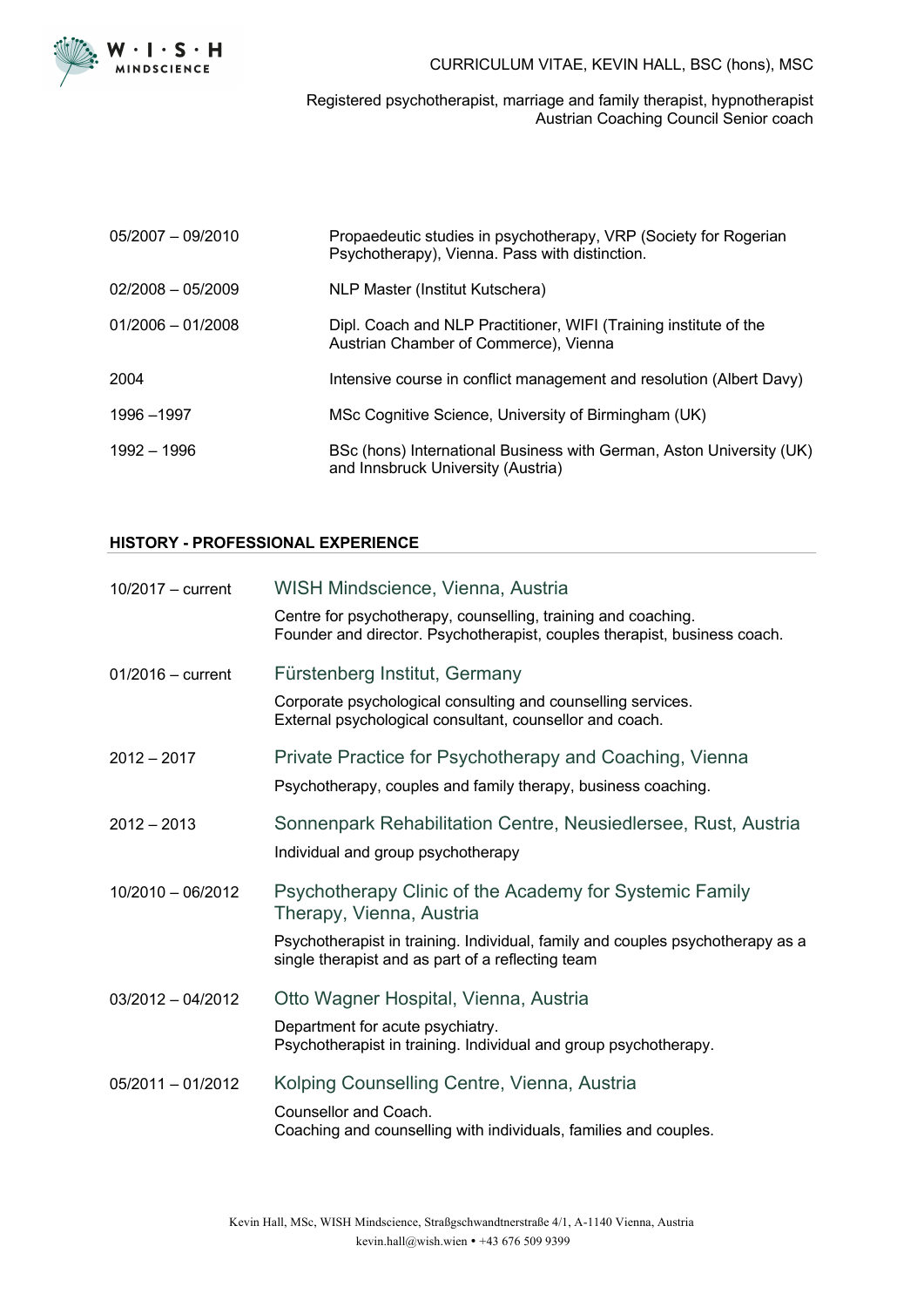

CURRICULUM VITAE, KEVIN HALL, BSC (hons), MSC

Registered psychotherapist, marriage and family therapist, hypnotherapist Austrian Coaching Council Senior coach

| $05/2007 - 09/2010$ | Propaedeutic studies in psychotherapy, VRP (Society for Rogerian<br>Psychotherapy), Vienna. Pass with distinction. |
|---------------------|--------------------------------------------------------------------------------------------------------------------|
| $02/2008 - 05/2009$ | NLP Master (Institut Kutschera)                                                                                    |
| $01/2006 - 01/2008$ | Dipl. Coach and NLP Practitioner, WIFI (Training institute of the<br>Austrian Chamber of Commerce), Vienna         |
| 2004                | Intensive course in conflict management and resolution (Albert Davy)                                               |
| 1996 - 1997         | MSc Cognitive Science, University of Birmingham (UK)                                                               |
| 1992 - 1996         | BSc (hons) International Business with German, Aston University (UK)<br>and Innsbruck University (Austria)         |

## **HISTORY - PROFESSIONAL EXPERIENCE**

| $10/2017 - current$ | WISH Mindscience, Vienna, Austria                                                                                                          |
|---------------------|--------------------------------------------------------------------------------------------------------------------------------------------|
|                     | Centre for psychotherapy, counselling, training and coaching.<br>Founder and director. Psychotherapist, couples therapist, business coach. |
| $01/2016$ - current | Fürstenberg Institut, Germany                                                                                                              |
|                     | Corporate psychological consulting and counselling services.<br>External psychological consultant, counsellor and coach.                   |
| $2012 - 2017$       | Private Practice for Psychotherapy and Coaching, Vienna                                                                                    |
|                     | Psychotherapy, couples and family therapy, business coaching.                                                                              |
| $2012 - 2013$       | Sonnenpark Rehabilitation Centre, Neusiedlersee, Rust, Austria                                                                             |
|                     | Individual and group psychotherapy                                                                                                         |
| 10/2010 - 06/2012   | Psychotherapy Clinic of the Academy for Systemic Family<br>Therapy, Vienna, Austria                                                        |
|                     | Psychotherapist in training. Individual, family and couples psychotherapy as a<br>single therapist and as part of a reflecting team        |
| $03/2012 - 04/2012$ | Otto Wagner Hospital, Vienna, Austria                                                                                                      |
|                     | Department for acute psychiatry.<br>Psychotherapist in training. Individual and group psychotherapy.                                       |
| $05/2011 - 01/2012$ | Kolping Counselling Centre, Vienna, Austria                                                                                                |
|                     | Counsellor and Coach.                                                                                                                      |
|                     | Coaching and counselling with individuals, families and couples.                                                                           |